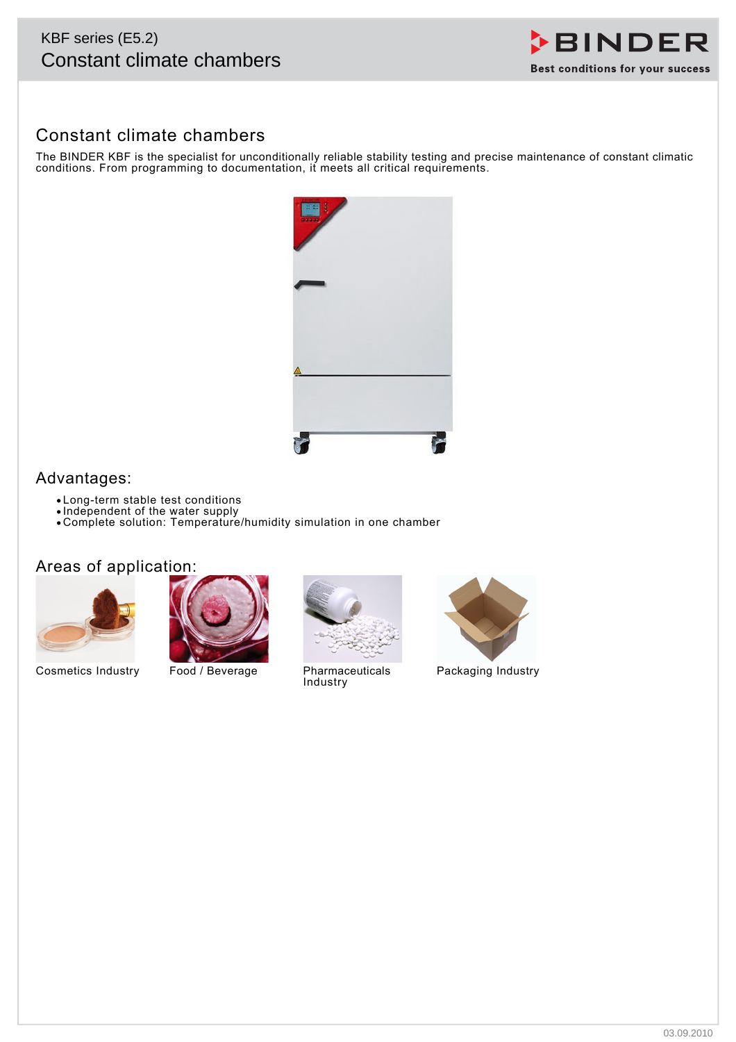# KBF series (E5.2)



## Constant climate chambers

The BINDER KBF is the specialist for unconditionally reliable stability testing and precise maintenance of constant climatic conditions. From programming to documentation, it meets all critical requirements.



## Advantages:

- Long-term stable test conditions
- Independent of the water supply
- Complete solution: Temperature/humidity simulation in one chamber

## Areas of application:



Cosmetics Industry Food / Beverage Pharmaceuticals





Industry



Packaging Industry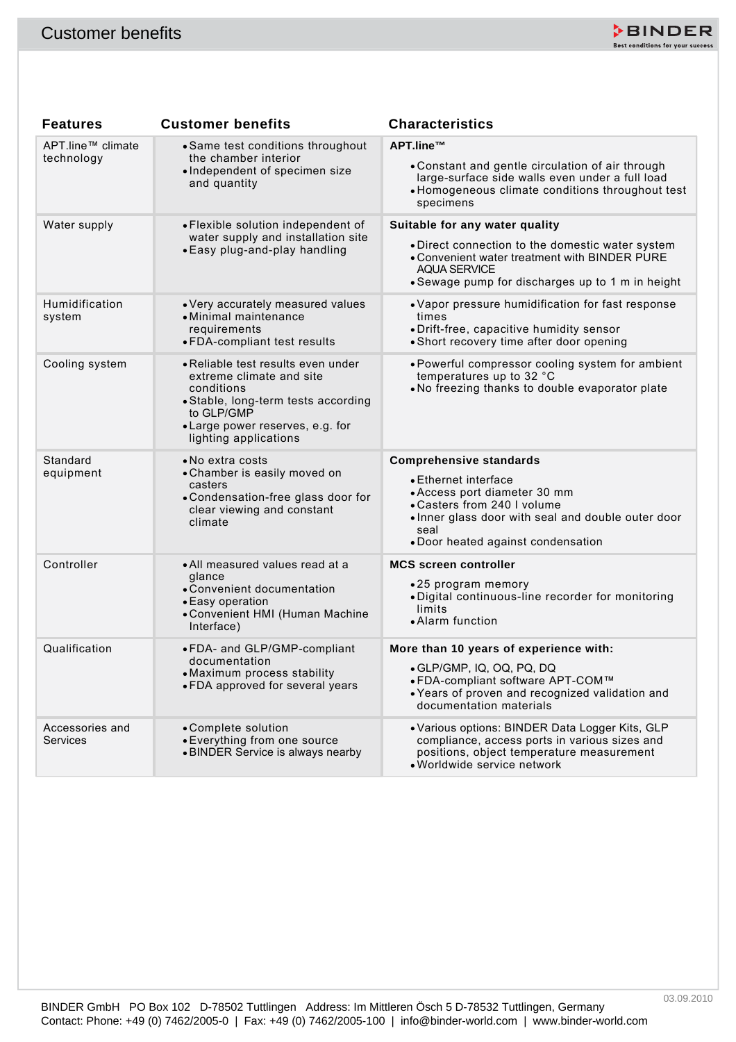

| <b>Customer benefits</b>           |                                                                                                                                                                                                | ≯BINDER<br>Best conditions for your success                                                                                                                                                                               |
|------------------------------------|------------------------------------------------------------------------------------------------------------------------------------------------------------------------------------------------|---------------------------------------------------------------------------------------------------------------------------------------------------------------------------------------------------------------------------|
|                                    |                                                                                                                                                                                                |                                                                                                                                                                                                                           |
| <b>Features</b>                    | <b>Customer benefits</b>                                                                                                                                                                       | <b>Characteristics</b>                                                                                                                                                                                                    |
| APT.line™ climate<br>technology    | • Same test conditions throughout<br>the chamber interior<br>· Independent of specimen size<br>and quantity                                                                                    | APT.line™<br>• Constant and gentle circulation of air through<br>large-surface side walls even under a full load<br>• Homogeneous climate conditions throughout test<br>specimens                                         |
| Water supply                       | • Flexible solution independent of<br>water supply and installation site<br>• Easy plug-and-play handling                                                                                      | Suitable for any water quality<br>• Direct connection to the domestic water system<br>. Convenient water treatment with BINDER PURE<br><b>AQUA SERVICE</b><br>• Sewage pump for discharges up to 1 m in height            |
| Humidification<br>system           | • Very accurately measured values<br>• Minimal maintenance<br>requirements<br>• FDA-compliant test results                                                                                     | • Vapor pressure humidification for fast response<br>times<br>• Drift-free, capacitive humidity sensor<br>• Short recovery time after door opening                                                                        |
| Cooling system                     | • Reliable test results even under<br>extreme climate and site<br>conditions<br>• Stable, long-term tests according<br>to GLP/GMP<br>• Large power reserves, e.g. for<br>lighting applications | • Powerful compressor cooling system for ambient<br>temperatures up to 32 °C<br>. No freezing thanks to double evaporator plate                                                                                           |
| Standard<br>equipment              | • No extra costs<br>• Chamber is easily moved on<br>casters<br>• Condensation-free glass door for<br>clear viewing and constant<br>climate                                                     | <b>Comprehensive standards</b><br>• Ethernet interface<br>• Access port diameter 30 mm<br>• Casters from 240 I volume<br>. Inner glass door with seal and double outer door<br>seal<br>• Door heated against condensation |
| Controller                         | • All measured values read at a<br>glance<br>• Convenient documentation<br>• Easy operation<br>• Convenient HMI (Human Machine<br>Interface)                                                   | <b>MCS screen controller</b><br>•25 program memory<br>· Digital continuous-line recorder for monitoring<br>limits<br>• Alarm function                                                                                     |
| Qualification                      | • FDA- and GLP/GMP-compliant<br>documentation<br>• Maximum process stability<br>• FDA approved for several years                                                                               | More than 10 years of experience with:<br>• GLP/GMP, IQ, OQ, PQ, DQ<br>• FDA-compliant software APT-COM™<br>• Years of proven and recognized validation and<br>documentation materials                                    |
| Accessories and<br><b>Services</b> | • Complete solution<br>• Everything from one source<br>• BINDER Service is always nearby                                                                                                       | • Various options: BINDER Data Logger Kits, GLP<br>compliance, access ports in various sizes and<br>positions, object temperature measurement<br>• Worldwide service network                                              |
|                                    |                                                                                                                                                                                                |                                                                                                                                                                                                                           |
|                                    | BINDER GmbH PO Box 102 D-78502 Tuttlingen Address: Im Mittleren Ösch 5 D-78532 Tuttlingen, Germany                                                                                             | 03.09.2010<br>Contact: Phone: +49 (0) 7462/2005-0   Fax: +49 (0) 7462/2005-100   info@binder-world.com   www.binder-world.com                                                                                             |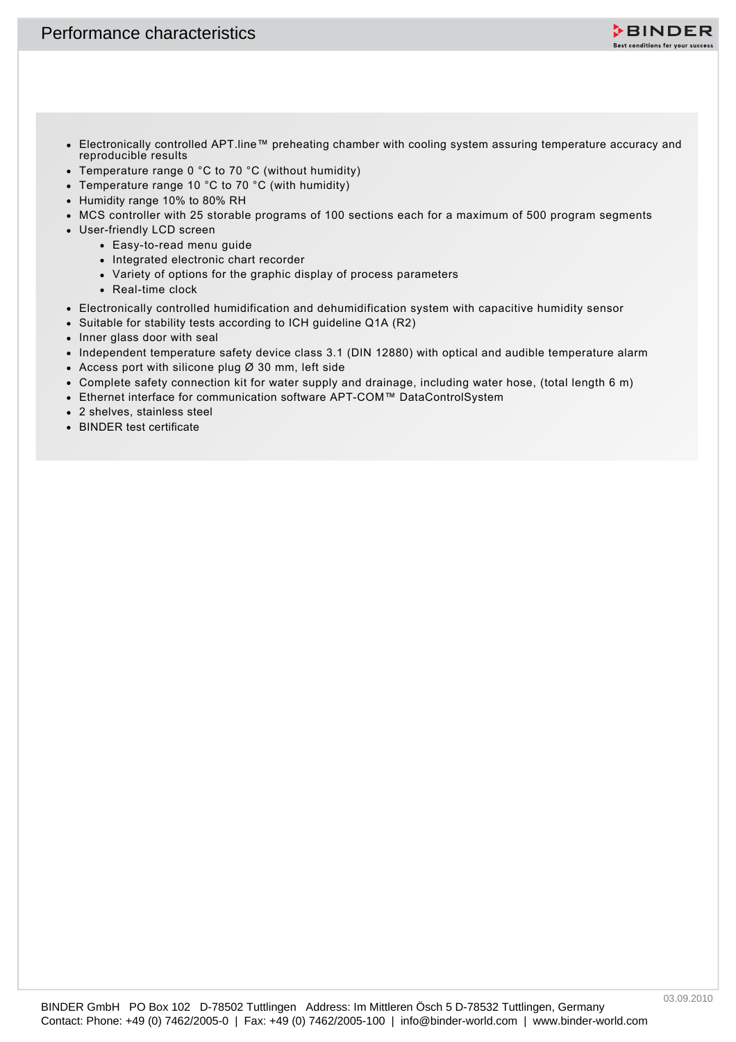

- **Contact: Phone: +49 (0) 7462/2005-0 | Fax: +49 (0) 7462/2005-0 | Fax: +49 (0) 7462/2005-0 | information and 2012-0 | information and 2012-0 | information and 2012-0 | information and 2012-0 | information and 2012-0 | inf** Electronically controlled APT.line™ preheating chamber with cooling system assuring temperature accuracy and reproducible results
	- Temperature range 0 °C to 70 °C (without humidity)
	- Temperature range 10 °C to 70 °C (with humidity)
	- Humidity range 10% to 80% RH
	- MCS controller with 25 storable programs of 100 sections each for a maximum of 500 program segments
	- User-friendly LCD screen
		- Easy-to-read menu guide
		- Integrated electronic chart recorder
		- Variety of options for the graphic display of process parameters
		- Real-time clock
	- Electronically controlled humidification and dehumidification system with capacitive humidity sensor
	- Suitable for stability tests according to ICH guideline Q1A (R2)
	- Inner glass door with seal
	- Independent temperature safety device class 3.1 (DIN 12880) with optical and audible temperature alarm
	- Access port with silicone plug Ø 30 mm, left side
	- Complete safety connection kit for water supply and drainage, including water hose, (total length 6 m)
	- Ethernet interface for communication software APT-COM™ DataControlSystem
	- 2 shelves, stainless steel
	- BINDER test certificate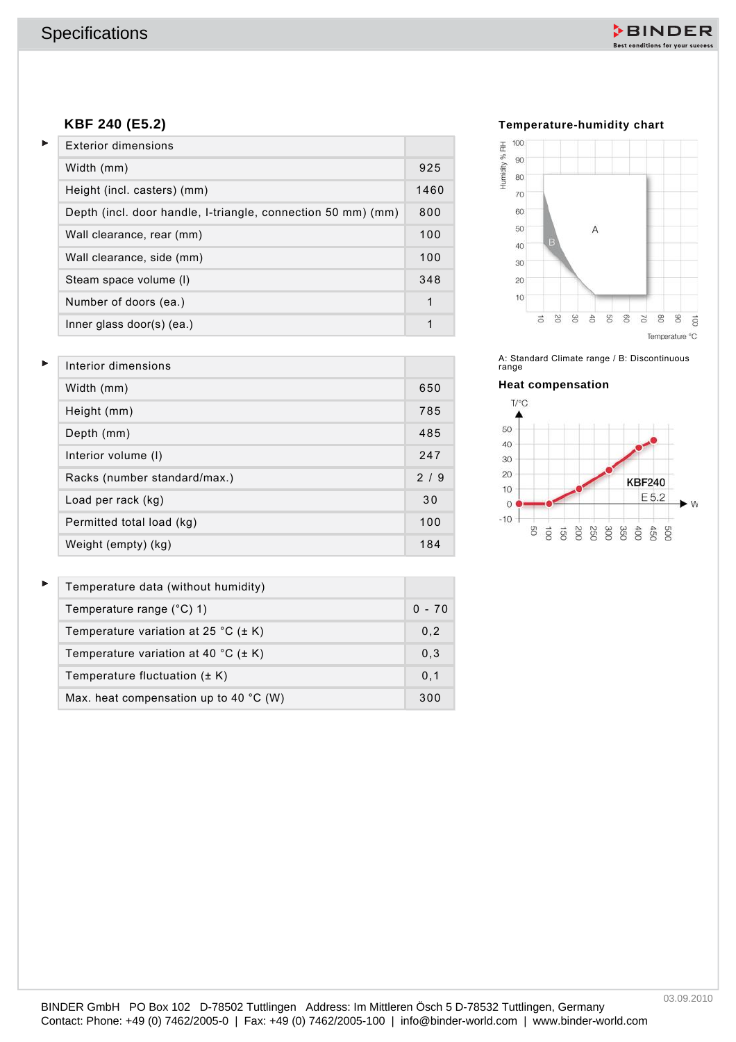

#### **KBF 240 (E5.2)**

| KBF 240 (E5.2)                                               |              | Temperature-humidity chart                                                         |
|--------------------------------------------------------------|--------------|------------------------------------------------------------------------------------|
| <b>Exterior dimensions</b>                                   |              | 100<br>90                                                                          |
| Width (mm)                                                   | 925          | Humidity % RH<br>80                                                                |
| Height (incl. casters) (mm)                                  | 1460         | 70                                                                                 |
| Depth (incl. door handle, I-triangle, connection 50 mm) (mm) | 800          | 60                                                                                 |
| Wall clearance, rear (mm)                                    | 100          | 50<br>Α<br>40                                                                      |
| Wall clearance, side (mm)                                    | 100          | 30                                                                                 |
| Steam space volume (I)                                       | 348          | 20                                                                                 |
| Number of doors (ea.)                                        | $\mathbf{1}$ | 10                                                                                 |
| Inner glass door(s) (ea.)                                    | $\mathbf{1}$ | 8<br>g<br>8<br>8<br>SC<br>$\ddot{\varepsilon}$<br>5<br>$\vec{o}$<br>Temperature °C |
| Interior dimensions                                          |              | A: Standard Climate range / B: Discontinuous                                       |
| Width (mm)                                                   | 650          | range<br><b>Heat compensation</b>                                                  |
|                                                              | 785          | T/C                                                                                |
| Height (mm)                                                  | 485          | 50                                                                                 |
| Depth (mm)<br>Interior volume (I)                            | 247          | 40                                                                                 |
| Racks (number standard/max.)                                 | 2/9          | 30<br>20                                                                           |
| Load per rack (kg)                                           | 30           | <b>KBF240</b><br>10<br>E 5.2                                                       |
| Permitted total load (kg)                                    | 100          | $\circ$<br>$-10$                                                                   |
| Weight (empty) (kg)                                          | 184          | g<br>OOE<br>450<br>$\vec{8}$<br>$\infty$<br>250<br>350<br>600<br>DOG<br>gi         |
|                                                              |              |                                                                                    |
| Temperature data (without humidity)                          |              |                                                                                    |
| Temperature range (°C) 1)                                    | $0 - 70$     |                                                                                    |
| Temperature variation at 25 °C ( $\pm$ K)                    | 0,2          |                                                                                    |
| Temperature variation at 40 °C ( $\pm$ K)                    | 0,3          |                                                                                    |
| Temperature fluctuation $(\pm K)$                            | 0,1          |                                                                                    |
| Max. heat compensation up to 40 $^{\circ}$ C (W)             | 300          |                                                                                    |
|                                                              |              |                                                                                    |

#### **Temperature-humidity chart**







| Interior dimensions          |     |
|------------------------------|-----|
| Width (mm)                   | 650 |
| Height (mm)                  | 785 |
| Depth (mm)                   | 485 |
| Interior volume (I)          | 247 |
| Racks (number standard/max.) | 2/9 |
| Load per rack (kg)           | 30  |
| Permitted total load (kg)    | 100 |
| Weight (empty) (kg)          | 184 |

| Temperature data (without humidity)              |          |
|--------------------------------------------------|----------|
| Temperature range $(^{\circ}C)$ 1)               | $0 - 70$ |
| Temperature variation at 25 °C ( $\pm$ K)        | 0,2      |
| Temperature variation at 40 °C ( $\pm$ K)        | 0.3      |
| Temperature fluctuation $(\pm K)$                | 0.1      |
| Max. heat compensation up to 40 $^{\circ}$ C (W) | 300      |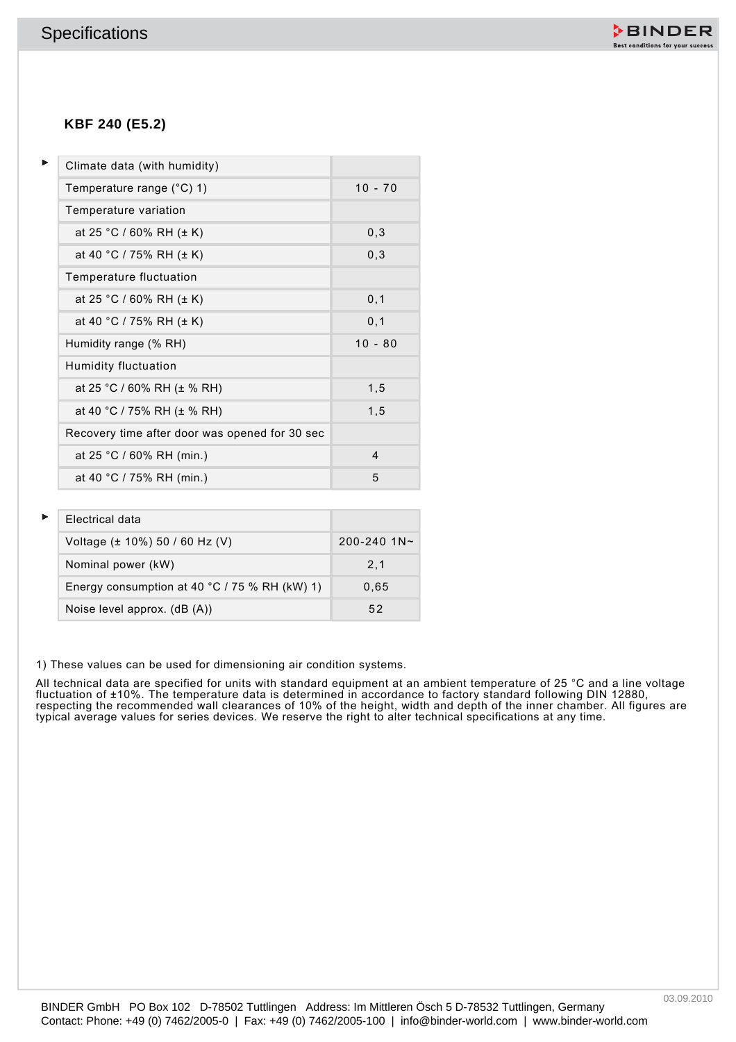

### **KBF 240 (E5.2)**

| KBF 240 (E5.2)<br>Þ<br>Climate data (with humidity)<br>$10 - 70$<br>Temperature range (°C) 1)<br>Temperature variation<br>0, 3<br>at 25 °C / 60% RH ( $\pm$ K)<br>0, 3<br>at 40 °C / 75% RH (± K)<br>Temperature fluctuation<br>0,1<br>at 25 °C / 60% RH ( $\pm$ K)<br>at 40 °C / 75% RH (± K)<br>0, 1<br>$10 - 80$<br>Humidity range (% RH)<br>Humidity fluctuation<br>at 25 °C / 60% RH (± % RH)<br>1,5<br>at 40 °C / 75% RH (± % RH)<br>1,5<br>Recovery time after door was opened for 30 sec<br>at 25 °C / 60% RH (min.)<br>$\overline{\mathbf{4}}$ |  |
|---------------------------------------------------------------------------------------------------------------------------------------------------------------------------------------------------------------------------------------------------------------------------------------------------------------------------------------------------------------------------------------------------------------------------------------------------------------------------------------------------------------------------------------------------------|--|
|                                                                                                                                                                                                                                                                                                                                                                                                                                                                                                                                                         |  |
|                                                                                                                                                                                                                                                                                                                                                                                                                                                                                                                                                         |  |
|                                                                                                                                                                                                                                                                                                                                                                                                                                                                                                                                                         |  |
|                                                                                                                                                                                                                                                                                                                                                                                                                                                                                                                                                         |  |
|                                                                                                                                                                                                                                                                                                                                                                                                                                                                                                                                                         |  |
|                                                                                                                                                                                                                                                                                                                                                                                                                                                                                                                                                         |  |
|                                                                                                                                                                                                                                                                                                                                                                                                                                                                                                                                                         |  |
|                                                                                                                                                                                                                                                                                                                                                                                                                                                                                                                                                         |  |
|                                                                                                                                                                                                                                                                                                                                                                                                                                                                                                                                                         |  |
|                                                                                                                                                                                                                                                                                                                                                                                                                                                                                                                                                         |  |
|                                                                                                                                                                                                                                                                                                                                                                                                                                                                                                                                                         |  |
|                                                                                                                                                                                                                                                                                                                                                                                                                                                                                                                                                         |  |
|                                                                                                                                                                                                                                                                                                                                                                                                                                                                                                                                                         |  |
|                                                                                                                                                                                                                                                                                                                                                                                                                                                                                                                                                         |  |
|                                                                                                                                                                                                                                                                                                                                                                                                                                                                                                                                                         |  |
| at 40 °C / 75% RH (min.)<br>5                                                                                                                                                                                                                                                                                                                                                                                                                                                                                                                           |  |
| Electrical data                                                                                                                                                                                                                                                                                                                                                                                                                                                                                                                                         |  |
| 200-240 1N~<br>Voltage (± 10%) 50 / 60 Hz (V)                                                                                                                                                                                                                                                                                                                                                                                                                                                                                                           |  |
| Nominal power (kW)<br>2,1                                                                                                                                                                                                                                                                                                                                                                                                                                                                                                                               |  |
| Energy consumption at 40 °C / 75 % RH (kW) 1)<br>0,65                                                                                                                                                                                                                                                                                                                                                                                                                                                                                                   |  |
| 52<br>Noise level approx. (dB (A))                                                                                                                                                                                                                                                                                                                                                                                                                                                                                                                      |  |
| ) These values can be used for dimensioning air condition systems.<br>Ill technical data are specified for units with standard equipment at an ambient temperature of 25 °C and a line voltage                                                                                                                                                                                                                                                                                                                                                          |  |

| Electrical data                               |                 |
|-----------------------------------------------|-----------------|
| Voltage $(\pm 10\%)$ 50 / 60 Hz (V)           | $200 - 240$ 1N~ |
| Nominal power (kW)                            | 2.1             |
| Energy consumption at 40 °C / 75 % RH (kW) 1) | 0.65            |
| Noise level approx. (dB (A))                  | 52              |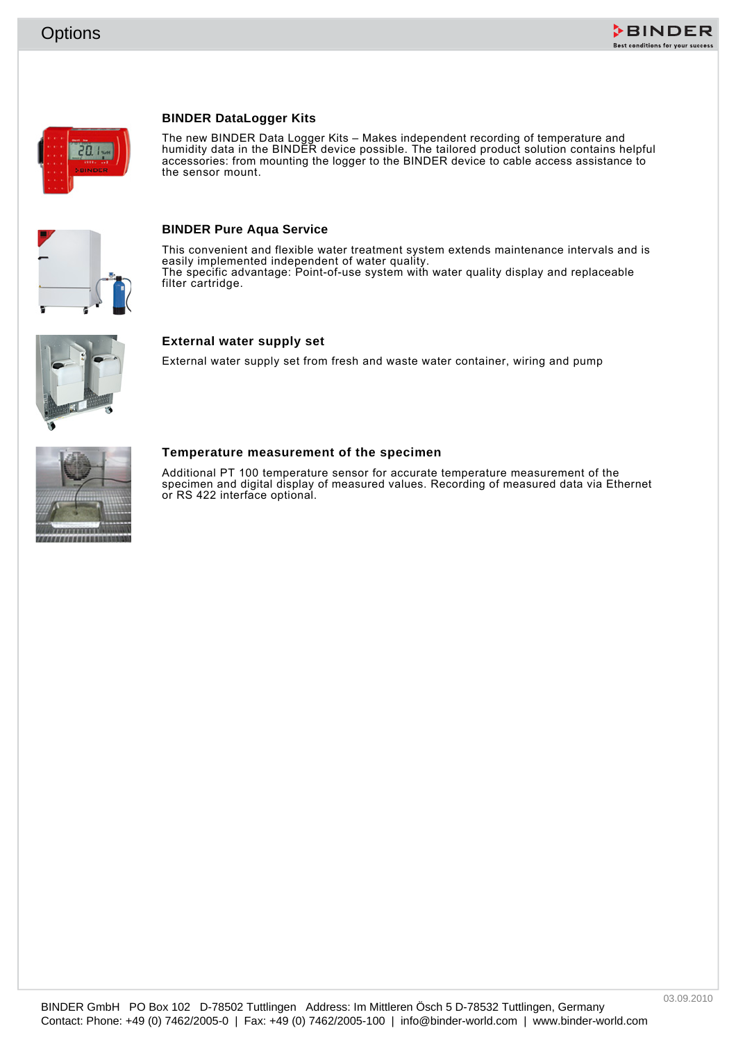

#### **BINDER DataLogger Kits**



The new BINDER Data Logger Kits – Makes independent recording of temperature and humidity data in the BINDER device possible. The tailored product solution contains helpful accessories: from mounting the logger to the BINDER device to cable access assistance to the sensor mount.



#### **BINDER Pure Aqua Service**

Contact: Phone: +49 (0) 7462/2005-0 | Fax: +49 (0) 7462/2005-0 | Fax: +49 (0) 7462/2005-0 | info@binder-world.com | www.binder-world.com | www.binder-world.com | www.binder-world.com | www.binder-world.com | www.binder-wor This convenient and flexible water treatment system extends maintenance intervals and is easily implemented independent of water quality. The specific advantage: Point-of-use system with water quality display and replaceable filter cartridge.



#### **External water supply set**

External water supply set from fresh and waste water container, wiring and pump



#### **Temperature measurement of the specimen**

Additional PT 100 temperature sensor for accurate temperature measurement of the specimen and digital display of measured values. Recording of measured data via Ethernet or RS 422 interface optional.